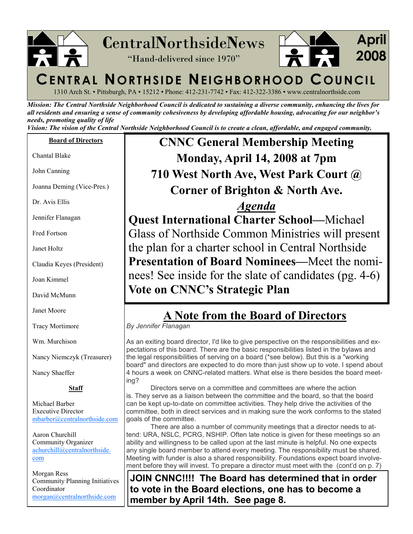

1310 Arch St. ▪ Pittsburgh, PA ▪ 15212 ▪ Phone: 412-231-7742 ▪ Fax: 412-322-3386 ▪ www.centralnorthside.com

Mission: The Central Northside Neighborhood Council is dedicated to sustaining a diverse community, enhancing the lives for all residents and ensuring a sense of community cohesiveness by developing affordable housing, advocating for our neighbor's needs, promoting quality of life

Vision: The vision of the Central Northside Neighborhood Council is to create a clean, affordable, and engaged community.

### Board of Directors

Chantal Blake

John Canning

Joanna Deming (Vice-Pres.)

Dr. Avis Ellis

Jennifer Flanagan

Fred Fortson

Janet Holtz

Claudia Keyes (President)

Joan Kimmel

David McMunn

Janet Moore

Tracy Mortimore

Wm. Murchison

Nancy Niemczyk (Treasurer)

Nancy Shaeffer

### Staff

Michael Barber Executive Director mbarber@centralnorthside.com

Aaron Churchill Community Organizer achurchill@centralnorthside. com

Morgan Ress Community Planning Initiatives Coordinator morgan@centralnorthside.com

## CNNC General Membership Meeting Monday, April 14, 2008 at 7pm 710 West North Ave, West Park Court @ Corner of Brighton & North Ave.

Agenda Quest International Charter School—Michael Glass of Northside Common Ministries will present the plan for a charter school in Central Northside Presentation of Board Nominees—Meet the nomi nees! See inside for the slate of candidates (pg. 4-6) Vote on CNNC's Strategic Plan

### A Note from the Board of Directors

By Jennifer Flanagan

As an exiting board director, I'd like to give perspective on the responsibilities and expectations of this board. There are the basic responsibilities listed in the bylaws and the legal responsibilities of serving on a board (\*see below). But this is a "working board" and directors are expected to do more than just show up to vote. I spend about 4 hours a week on CNNC-related matters. What else is there besides the board meeting?

 Directors serve on a committee and committees are where the action is. They serve as a liaison between the committee and the board, so that the board can be kept up-to-date on committee activities. They help drive the activities of the committee, both in direct services and in making sure the work conforms to the stated goals of the committee.

 There are also a number of community meetings that a director needs to attend: URA, NSLC, PCRG, NSHIP. Often late notice is given for these meetings so an ability and willingness to be called upon at the last minute is helpful. No one expects any single board member to attend every meeting. The responsibility must be shared. Meeting with funder is also a shared responsibility. Foundations expect board involvement before they will invest. To prepare a director must meet with the (cont'd on p. 7)

JOIN CNNC!!!! The Board has determined that in order to vote in the Board elections, one has to become a member by April 14th. See page 8.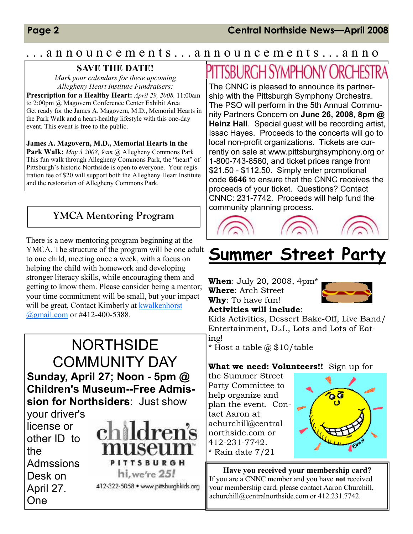### . . . a n n o u n c e m e n t s . . . a n n o u n c e m e n t s . . . a n n o

### SAVE THE DATE!

Mark your calendars for these upcoming Allegheny Heart Institute Fundraisers:

Prescription for a Healthy Heart: April 29, 2008, 11:00am to 2:00pm @ Magovern Conference Center Exhibit Area Get ready for the James A. Magovern, M.D., Memorial Hearts in the Park Walk and a heart-healthy lifestyle with this one-day event. This event is free to the public.

James A. Magovern, M.D., Memorial Hearts in the Park Walk: May 3 2008, 9am @ Allegheny Commons Park This fun walk through Allegheny Commons Park, the "heart" of Pittsburgh's historic Northside is open to everyone. Your registration fee of \$20 will support both the Allegheny Heart Institute and the restoration of Allegheny Commons Park.

### YMCA Mentoring Program

There is a new mentoring program beginning at the YMCA. The structure of the program will be one adult to one child, meeting once a week, with a focus on helping the child with homework and developing stronger literacy skills, while encouraging them and getting to know them. Please consider being a mentor; your time commitment will be small, but your impact will be great. Contact Kimberly at kwalkenhorst @gmail.com or #412-400-5388.



# PITTSBURGH SYMPHONY ORCHEST

The CNNC is pleased to announce its partnership with the Pittsburgh Symphony Orchestra. The PSO will perform in the 5th Annual Community Partners Concern on June 26, 2008, 8pm @ Heinz Hall. Special quest will be recording artist, Issac Hayes. Proceeds to the concerts will go to local non-profit organizations. Tickets are currently on sale at www.pittsburghsymphony.org or 1-800-743-8560, and ticket prices range from \$21.50 - \$112.50. Simply enter promotional code 6646 to ensure that the CNNC receives the proceeds of your ticket. Questions? Contact CNNC: 231-7742. Proceeds will help fund the community planning process.



# Summer Street Party

**When:** July 20, 2008, 4pm\*

Where: Arch Street Why: To have fun!



Activities will include:

Kids Activities, Dessert Bake-Off, Live Band/ Entertainment, D.J., Lots and Lots of Eating!

\* Host a table  $\omega$  \$10/table

### What we need: Volunteers!! Sign up for

the Summer Street Party Committee to help organize and plan the event. Contact Aaron at achurchill@central northside.com or 412-231-7742. \* Rain date 7/21



Have you received your membership card? If you are a CNNC member and you have not received your membership card, please contact Aaron Churchill, achurchill@centralnorthside.com or 412.231.7742.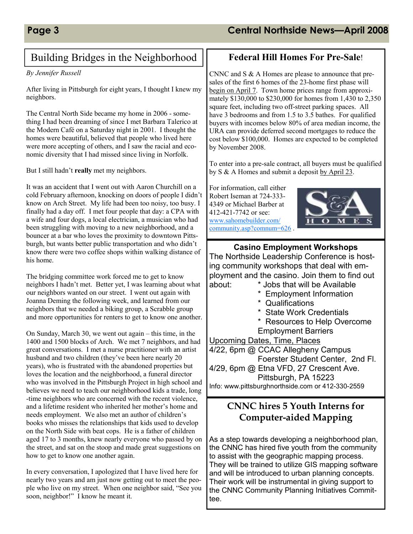### Building Bridges in the Neighborhood

### By Jennifer Russell

After living in Pittsburgh for eight years, I thought I knew my neighbors.

The Central North Side became my home in 2006 - something I had been dreaming of since I met Barbara Talerico at the Modern Café on a Saturday night in 2001. I thought the homes were beautiful, believed that people who lived here were more accepting of others, and I saw the racial and economic diversity that I had missed since living in Norfolk.

But I still hadn't really met my neighbors.

It was an accident that I went out with Aaron Churchill on a cold February afternoon, knocking on doors of people I didn't know on Arch Street. My life had been too noisy, too busy. I finally had a day off. I met four people that day: a CPA with a wife and four dogs, a local electrician, a musician who had been struggling with moving to a new neighborhood, and a bouncer at a bar who loves the proximity to downtown Pittsburgh, but wants better public transportation and who didn't know there were two coffee shops within walking distance of his home.

The bridging committee work forced me to get to know neighbors I hadn't met. Better yet, I was learning about what our neighbors wanted on our street. I went out again with Joanna Deming the following week, and learned from our neighbors that we needed a biking group, a Scrabble group and more opportunities for renters to get to know one another.

On Sunday, March 30, we went out again – this time, in the 1400 and 1500 blocks of Arch. We met 7 neighbors, and had great conversations. I met a nurse practitioner with an artist husband and two children (they've been here nearly 20 years), who is frustrated with the abandoned properties but loves the location and the neighborhood, a funeral director who was involved in the Pittsburgh Project in high school and believes we need to teach our neighborhood kids a trade, long -time neighbors who are concerned with the recent violence, and a lifetime resident who inherited her mother's home and needs employment. We also met an author of children's books who misses the relationships that kids used to develop on the North Side with beat cops. He is a father of children aged 17 to 3 months, knew nearly everyone who passed by on the street, and sat on the stoop and made great suggestions on how to get to know one another again.

In every conversation, I apologized that I have lived here for nearly two years and am just now getting out to meet the people who live on my street. When one neighbor said, "See you soon, neighbor!" I know he meant it.

### Federal Hill Homes For Pre-Sale!

CNNC and S & A Homes are please to announce that presales of the first 6 homes of the 23-home first phase will begin on April 7. Town home prices range from approximately \$130,000 to \$230,000 for homes from 1,430 to 2,350 square feet, including two off-street parking spaces. All have 3 bedrooms and from 1.5 to 3.5 bathes. For qualified buyers with incomes below 80% of area median income, the URA can provide deferred second mortgages to reduce the cost below \$100,000. Homes are expected to be completed by November 2008.

To enter into a pre-sale contract, all buyers must be qualified by S & A Homes and submit a deposit by April 23.

For information, call either Robert Iseman at 724-333- 4349 or Michael Barber at 412-421-7742 or see: www.sahomebuilder.com/ community.asp?comnum=626 .



Casino Employment Workshops The Northside Leadership Conference is hosting community workshops that deal with employment and the casino. Join them to find out about: \* Jobs that will be Available \* Employment Information \* Qualifications \* State Work Credentials \* Resources to Help Overcome Employment Barriers Upcoming Dates, Time, Places 4/22, 6pm @ CCAC Allegheny Campus Foerster Student Center, 2nd Fl. 4/29, 6pm @ Etna VFD, 27 Crescent Ave. Pittsburgh, PA 15223 Info: www.pittsburghnorthside.com or 412-330-2559

### CNNC hires 5 Youth Interns for Computer-aided Mapping

As a step towards developing a neighborhood plan, the CNNC has hired five youth from the community to assist with the geographic mapping process. They will be trained to utilize GIS mapping software and will be introduced to urban planning concepts. Their work will be instrumental in giving support to the CNNC Community Planning Initiatives Committee.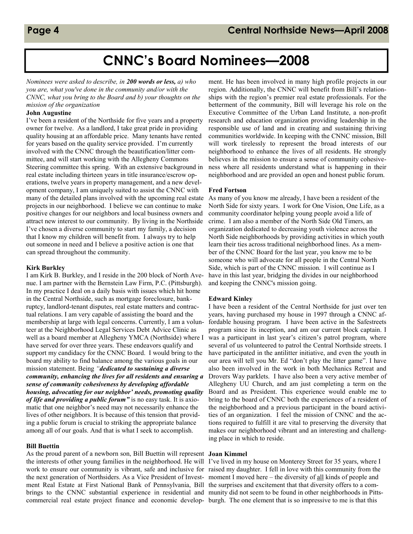## CNNC's Board Nominees—2008

Nominees were asked to describe, in 200 words or less, a) who you are, what you've done in the community and/or with the CNNC, what you bring to the Board and b) your thoughts on the mission of the organization

#### John Augustine

I've been a resident of the Northside for five years and a property owner for twelve. As a landlord, I take great pride in providing quality housing at an affordable price. Many tenants have rented for years based on the quality service provided. I'm currently involved with the CNNC through the beautification/litter committee, and will start working with the Allegheny Commons Steering committee this spring. With an extensive background in real estate including thirteen years in title insurance/escrow operations, twelve years in property management, and a new development company, I am uniquely suited to assist the CNNC with many of the detailed plans involved with the upcoming real estate projects in our neighborhood. I believe we can continue to make positive changes for our neighbors and local business owners and attract new interest to our community. By living in the Northside I've chosen a diverse community to start my family, a decision that I know my children will benefit from. I always try to help out someone in need and I believe a positive action is one that can spread throughout the community.

#### Kirk Burkley

I am Kirk B. Burkley, and I reside in the 200 block of North Avenue. I am partner with the Bernstein Law Firm, P.C. (Pittsburgh). In my practice I deal on a daily basis with issues which hit home in the Central Northside, such as mortgage foreclosure, bankruptcy, landlord-tenant disputes, real estate matters and contractual relations. I am very capable of assisting the board and the membership at large with legal concerns. Currently, I am a volunteer at the Neighborhood Legal Services Debt Advice Clinic as well as a board member at Allegheny YMCA (Northside) where I have served for over three years. These endeavors qualify and support my candidacy for the CNNC Board. I would bring to the board my ability to find balance among the various goals in our mission statement. Being "*dedicated to sustaining a diverse* community, enhancing the lives for all residents and ensuring a sense of community cohesiveness by developing affordable housing, advocating for our neighbor' needs, promoting quality of life and providing a public forum" is no easy task. It is axiomatic that one neighbor's need may not necessarily enhance the lives of other neighbors. It is because of this tension that providing a public forum is crucial to striking the appropriate balance among all of our goals. And that is what I seek to accomplish.

#### Bill Buettin

As the proud parent of a newborn son, Bill Buettin will represent Joan Kimmel the interests of other young families in the neighborhood. He will I've lived in my house on Monterey Street for 35 years, where I work to ensure our community is vibrant, safe and inclusive for raised my daughter. I fell in love with this community from the the next generation of Northsiders. As a Vice President of Invest- moment I moved here – the diversity of all kinds of people and ment Real Estate at First National Bank of Pennsylvania, Bill the surprises and excitement that that diversity offers to a combrings to the CNNC substantial experience in residential and munity did not seem to be found in other neighborhoods in Pittscommercial real estate project finance and economic develop-burgh. The one element that is so impressive to me is that this

ment. He has been involved in many high profile projects in our region. Additionally, the CNNC will benefit from Bill's relationships with the region's premier real estate professionals. For the betterment of the community, Bill will leverage his role on the Executive Committee of the Urban Land Institute, a non-profit research and education organization providing leadership in the responsible use of land and in creating and sustaining thriving communities worldwide. In keeping with the CNNC mission, Bill will work tirelessly to represent the broad interests of our neighborhood to enhance the lives of all residents. He strongly believes in the mission to ensure a sense of community cohesiveness where all residents understand what is happening in their neighborhood and are provided an open and honest public forum.

#### Fred Fortson

As many of you know me already, I have been a resident of the North Side for sixty years. I work for One Vision, One Life, as a community coordinator helping young people avoid a life of crime. I am also a member of the North Side Old Timers, an organization dedicated to decreasing youth violence across the North Side neighborhoods by providing activities in which youth learn their ties across traditional neighborhood lines. As a member of the CNNC Board for the last year, you know me to be someone who will advocate for all people in the Central North Side, which is part of the CNNC mission. I will continue as I have in this last year, bridging the divides in our neighborhood and keeping the CNNC's mission going.

#### Edward Kinley

I have been a resident of the Central Northside for just over ten years, having purchased my house in 1997 through a CNNC affordable housing program. I have been active in the Safestreets program since its inception, and am our current block captain. I was a participant in last year's citizen's patrol program, where several of us volunteered to patrol the Central Northside streets. I have participated in the antilitter initiative, and even the youth in our area will tell you Mr. Ed "don't play the litter game". I have also been involved in the work in both Mechanics Retreat and Drovers Way parklets. I have also been a very active member of Allegheny UU Church, and am just completing a term on the Board and as President. This experience would enable me to bring to the board of CNNC both the experiences of a resident of the neighborhood and a previous participant in the board activities of an organization. I feel the mission of CNNC and the actions required to fulfill it are vital to preserving the diversity that makes our neighborhood vibrant and an interesting and challenging place in which to reside.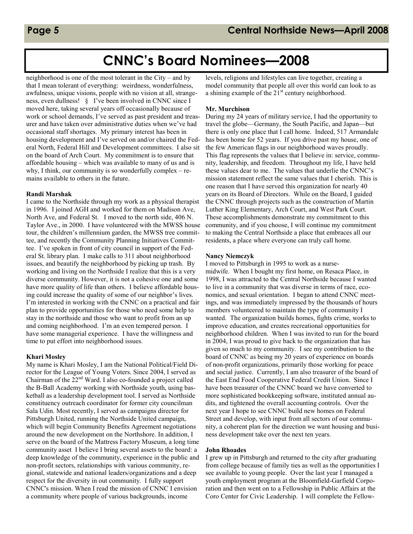## CNNC's Board Nominees—2008

neighborhood is one of the most tolerant in the City – and by that I mean tolerant of everything: weirdness, wonderfulness, awfulness, unique visions, people with no vision at all, strangeness, even dullness! § I've been involved in CNNC since I moved here, taking several years off occasionally because of work or school demands, I've served as past president and treasurer and have taken over administrative duties when we've had occasional staff shortages. My primary interest has been in housing development and I've served on and/or chaired the Federal North, Federal Hill and Development committees. I also sit on the board of Arch Court. My commitment is to ensure that affordable housing – which was available to many of us and is why, I think, our community is so wonderfully complex – remains available to others in the future.

### Randi Marshak

I came to the Northside through my work as a physical therapist in 1996. I joined AGH and worked for them on Madison Ave, North Ave, and Federal St. I moved to the north side, 406 N. Taylor Ave., in 2000. I have volunteered with the MWSS house tour, the children's millennium garden, the MWSS tree committee, and recently the Community Planning Initiatives Committee. I've spoken in front of city council in support of the Federal St. library plan. I make calls to 311 about neighborhood issues, and beautify the neighborhood by picking up trash. By working and living on the Northside I realize that this is a very diverse community. However, it is not a cohesive one and some have more quality of life than others. I believe affordable housing could increase the quality of some of our neighbor's lives. I'm interested in working with the CNNC on a practical and fair plan to provide opportunities for those who need some help to stay in the northside and those who want to profit from an up and coming neighborhood. I'm an even tempered person. I have some managerial experience. I have the willingness and time to put effort into neighborhood issues.

#### Khari Mosley

My name is Khari Mosley, I am the National Political/Field Director for the League of Young Voters. Since 2004, I served as Chairman of the 22nd Ward. I also co-founded a project called the B-Ball Academy working with Northside youth, using basketball as a leadership development tool. I served as Northside constituency outreach coordinator for former city councilman Sala Udin. Most recently, I served as campaigns director for Pittsburgh United, running the Northside United campaign, which will begin Community Benefits Agreement negotiations around the new development on the Northshore. In addition, I serve on the board of the Mattress Factory Museum, a long time community asset I believe I bring several assets to the board: a deep knowledge of the community, experience in the public and non-profit sectors, relationships with various community, regional, statewide and national leaders/organizations and a deep respect for the diversity in out community. I fully support CNNC's mission. When I read the mission of CNNC I envision a community where people of various backgrounds, income

levels, religions and lifestyles can live together, creating a model community that people all over this world can look to as a shining example of the  $21<sup>st</sup>$  century neighborhood.

### Mr. Murchison

During my 24 years of military service, I had the opportunity to travel the globe—Germany, the South Pacific, and Japan—but there is only one place that I call home. Indeed, 517 Armandale has been home for 52 years. If you drive past my house, one of the few American flags in our neighborhood waves proudly. This flag represents the values that I believe in: service, community, leadership, and freedom. Throughout my life, I have held these values dear to me. The values that underlie the CNNC's mission statement reflect the same values that I cherish. This is one reason that I have served this organization for nearly 40 years on its Board of Directors. While on the Board, I guided the CNNC through projects such as the construction of Martin Luther King Elementary, Arch Court, and West Park Court. These accomplishments demonstrate my commitment to this community, and if you choose, I will continue my commitment to making the Central Northside a place that embraces all our residents, a place where everyone can truly call home.

### Nancy Niemczyk

I moved to Pittsburgh in 1995 to work as a nursemidwife. When I bought my first home, on Resaca Place, in 1998, I was attracted to the Central Northside because I wanted to live in a community that was diverse in terms of race, economics, and sexual orientation. I began to attend CNNC meetings, and was immediately impressed by the thousands of hours members volunteered to maintain the type of community I wanted. The organization builds homes, fights crime, works to improve education, and creates recreational opportunities for neighborhood children. When I was invited to run for the board in 2004, I was proud to give back to the organization that has given so much to my community. I see my contribution to the board of CNNC as being my 20 years of experience on boards of non-profit organizations, primarily those working for peace and social justice. Currently, I am also treasurer of the board of the East End Food Cooperative Federal Credit Union. Since I have been treasurer of the CNNC board we have converted to more sophisticated bookkeeping software, instituted annual audits, and tightened the overall accounting controls. Over the next year I hope to see CNNC build new homes on Federal Street and develop, with input from all sectors of our community, a coherent plan for the direction we want housing and business development take over the next ten years.

### John Rhoades

I grew up in Pittsburgh and returned to the city after graduating from college because of family ties as well as the opportunities I see available to young people. Over the last year I managed a youth employment program at the Bloomfield-Garfield Corporation and then went on to a Fellowship in Public Affairs at the Coro Center for Civic Leadership. I will complete the Fellow-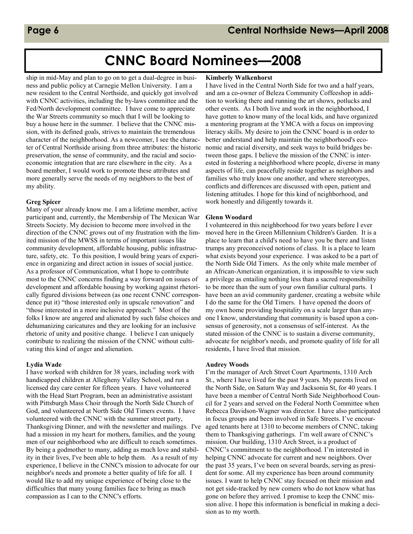## CNNC Board Nominees—2008

ship in mid-May and plan to go on to get a dual-degree in business and public policy at Carnegie Mellon University. I am a new resident to the Central Northside, and quickly got involved with CNNC activities, including the by-laws committee and the Fed/North development committee. I have come to appreciate the War Streets community so much that I will be looking to buy a house here in the summer. I believe that the CNNC mission, with its defined goals, strives to maintain the tremendous character of the neighborhood. As a newcomer, I see the character of Central Northside arising from three attributes: the historic preservation, the sense of community, and the racial and socioeconomic integration that are rare elsewhere in the city. As a board member, I would work to promote these attributes and more generally serve the needs of my neighbors to the best of my ability.

### Greg Spicer

Many of your already know me. I am a lifetime member, active participant and, currently, the Membership of The Mexican War Streets Society. My decision to become more involved in the direction of the CNNC grows out of my frustration with the limited mission of the MWSS in terms of important issues like community development, affordable housing, public infrastructure, safety, etc. To this position, I would bring years of experience in organizing and direct action in issues of social justice. As a professor of Communication, what I hope to contribute most to the CNNC concerns finding a way forward on issues of development and affordable housing by working against rhetorically figured divisions between (as one recent CNNC correspondence put it) "those interested only in upscale renovation" and "those interested in a more inclusive approach." Most of the folks I know are angered and alienated by such false choices and dehumanizing caricatures and they are looking for an inclusive rhetoric of unity and positive change. I believe I can uniquely contribute to realizing the mission of the CNNC without cultivating this kind of anger and alienation.

### Lydia Wade

I have worked with children for 38 years, including work with handicapped children at Allegheny Valley School, and run a licensed day care center for fifteen years. I have volunteered with the Head Start Program, been an administrative assistant with Pittsburgh Mass Choir through the North Side Church of God, and volunteered at North Side Old Timers events. I have volunteered with the CNNC with the summer street party, Thanksgiving Dinner, and with the newsletter and mailings. I've had a mission in my heart for mothers, families, and the young men of our neighborhood who are difficult to reach sometimes. By being a godmother to many, adding as much love and stability in their lives, I've been able to help them. As a result of my experience, I believe in the CNNC's mission to advocate for our neighbor's needs and promote a better quality of life for all. I would like to add my unique experience of being close to the difficulties that many young families face to bring as much compassion as I can to the CNNC's efforts.

### Kimberly Walkenhorst

I have lived in the Central North Side for two and a half years, and am a co-owner of Beleza Community Coffeeshop in addition to working there and running the art shows, potlucks and other events. As I both live and work in the neighborhood, I have gotten to know many of the local kids, and have organized a mentoring program at the YMCA with a focus on improving literacy skills. My desire to join the CNNC board is in order to better understand and help maintain the neighborhood's economic and racial diversity, and seek ways to build bridges between those gaps. I believe the mission of the CNNC is interested in fostering a neighborhood where people, diverse in many aspects of life, can peacefully reside together as neighbors and families who truly know one another, and where stereotypes, conflicts and differences are discussed with open, patient and listening attitudes. I hope for this kind of neighborhood, and work honestly and diligently towards it.

### Glenn Woodard

I volunteered in this neighborhood for two years before I ever moved here in the Green Millennium Children's Garden. It is a place to learn that a child's need to have you be there and listen trumps any preconceived notions of class. It is a place to learn what exists beyond your experience. I was asked to be a part of the North Side Old Timers. As the only white male member of an African-American organization, it is impossible to view such a privilege as entailing nothing less than a sacred responsibility to be more than the sum of your own familiar cultural parts. I have been an avid community gardener, creating a website while I do the same for the Old Timers. I have opened the doors of my own home providing hospitality on a scale larger than anyone I know, understanding that community is based upon a consensus of generosity, not a consensus of self-interest. As the stated mission of the CNNC is to sustain a diverse community, advocate for neighbor's needs, and promote quality of life for all residents, I have lived that mission.

#### Audrey Woods

I'm the manager of Arch Street Court Apartments, 1310 Arch St., where I have lived for the past 9 years. My parents lived on the North Side, on Saturn Way and Jacksonia St, for 40 years. I have been a member of Central North Side Neighborhood Council for 2 years and served on the Federal North Committee when Rebecca Davidson-Wagner was director. I have also participated in focus groups and been involved in Safe Streets. I've encouraged tenants here at 1310 to become members of CNNC, taking them to Thanksgiving gatherings. I'm well aware of CNNC's mission. Our building, 1310 Arch Street, is a product of CNNC's commitment to the neighborhood. I'm interested in helping CNNC advocate for current and new neighbors. Over the past 35 years, I've been on several boards, serving as president for some. All my experience has been around community issues. I want to help CNNC stay focused on their mission and not get side-tracked by new comers who do not know what has gone on before they arrived. I promise to keep the CNNC mission alive. I hope this information is beneficial in making a decision as to my worth.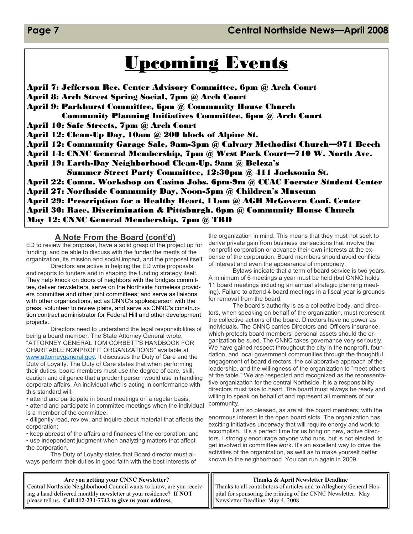# Upcoming Events

April 7: Jefferson Rec. Center Advisory Committee, 6pm @ Arch Court April 8: Arch Street Spring Social, 7pm @ Arch Court April 9: Parkhurst Committee, 6pm @ Community House Church Community Planning Initiatives Committee, 6pm @ Arch Court April 10: Safe Streets, 7pm @ Arch Court April 12: Clean-Up Day, 10am @ 200 block of Alpine St. April 12: Community Garage Sale, 9am-3pm @ Calvary Methodist Church—971 Beech April 14: CNNC General Membership, 7pm @ West Park Court—710 W. North Ave. April 19: Earth-Day Neighborhood Clean-Up, 9am @ Beleza's Summer Street Party Committee, 12:30pm @ 411 Jacksonia St. April 22: Comm. Workshop on Casino Jobs, 6pm-9m @ CCAC Foerster Student Center April 27: Northside Community Day, Noon-5pm @ Children's Museum April 29: Prescription for a Healthy Heart, 11am @ AGH McGovern Conf. Center April 30: Race, Discrimination & Pittsburgh, 6pm @ Community House Church May 12: CNNC General Membership, 7pm @ TBD

### A Note From the Board (cont'd)

ED to review the proposal, have a solid grasp of the project up for funding; and be able to discuss with the funder the merits of the organization, its mission and social impact, and the proposal itself.

 Directors are active in helping the ED write proposals and reports to funders and in shaping the funding strategy itself. They help knock on doors of neighbors with the bridges committee, deliver newsletters, serve on the Northside homeless providers committee and other joint committees; and serve as liaisons with other organizations, act as CNNC's spokesperson with the press, volunteer to review plans, and serve as CNNC's construction contract administrator for Federal Hill and other development projects.

 Directors need to understand the legal responsibilities of being a board member. The State Attorney General wrote, "ATTORNEY GENERAL TOM CORBETT'S HANDBOOK FOR CHARITABLE NONPROFIT ORGANIZATIONS" available at www.attorneygeneral.gov. It discusses the Duty of Care and the Duty of Loyalty. The Duty of Care states that when performing their duties, board members must use the degree of care, skill, caution and diligence that a prudent person would use in handling corporate affairs. An individual who is acting in conformance with this standard will:

• attend and participate in board meetings on a regular basis;

• attend and participate in committee meetings when the individual is a member of the committee;

• diligently read, review, and inquire about material that affects the corporation;

• keep abreast of the affairs and finances of the corporation; and • use independent judgment when analyzing matters that affect

the corporation.

 The Duty of Loyalty states that Board director must always perform their duties in good faith with the best interests of

the organization in mind. This means that they must not seek to derive private gain from business transactions that involve the nonprofit corporation or advance their own interests at the expense of the corporation. Board members should avoid conflicts of interest and even the appearance of impropriety.

 Bylaws indicate that a term of board service is two years. A minimum of 6 meetings a year must be held (but CNNC holds 11 board meetings including an annual strategic planning meeting). Failure to attend 4 board meetings in a fiscal year is grounds for removal from the board.

 The board's authority is as a collective body, and directors, when speaking on behalf of the organization, must represent the collective actions of the board. Directors have no power as individuals. The CNNC carries Directors and Officers insurance, which protects board members' personal assets should the organization be sued. The CNNC takes governance very seriously. We have gained respect throughout the city in the nonprofit, foundation, and local government communities through the thoughtful engagement of board directors, the collaborative approach of the leadership, and the willingness of the organization to "meet others at the table." We are respected and recognized as the representative organization for the central Northside. It is a responsibility directors must take to heart. The board must always be ready and willing to speak on behalf of and represent all members of our community.

 I am so pleased, as are all the board members, with the enormous interest in the open board slots. The organization has exciting initiatives underway that will require energy and work to accomplish. It's a perfect time for us bring on new, active directors. I strongly encourage anyone who runs, but is not elected, to get involved in committee work. It's an excellent way to drive the activities of the organization, as well as to make yourself better known to the neighborhood You can run again in 2009.

#### Thanks & April Newsletter Deadline Thanks to all contributors of articles and to Allegheny General Hospital for sponsoring the printing of the CNNC Newsletter. May Newsletter Deadline: May 4, 2008 Are you getting your CNNC Newsletter? Central Northside Neighborhood Council wants to know, are you receiving a hand delivered monthly newsletter at your residence? If NOT please tell us. Call 412-231-7742 to give us your address.